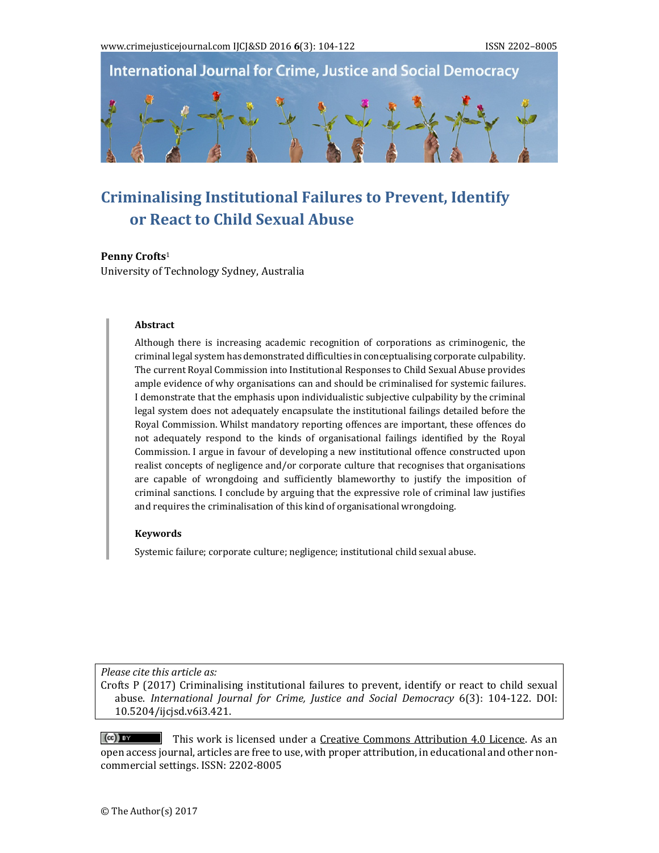**International Journal for Crime, Justice and Social Democracy** 

# **Criminalising Institutional Failures to Prevent, Identify or React to Child Sexual Abuse**

#### **Penny Crofts**<sup>1</sup>

University of Technology Sydney, Australia

#### **Abstract**

Although there is increasing academic recognition of corporations as criminogenic, the criminal legal system has demonstrated difficulties in conceptualising corporate culpability. The current Royal Commission into Institutional Responses to Child Sexual Abuse provides ample evidence of why organisations can and should be criminalised for systemic failures. I demonstrate that the emphasis upon individualistic subjective culpability by the criminal legal system does not adequately encapsulate the institutional failings detailed before the Royal Commission. Whilst mandatory reporting offences are important, these offences do not adequately respond to the kinds of organisational failings identified by the Royal Commission. I argue in favour of developing a new institutional offence constructed upon realist concepts of negligence and/or corporate culture that recognises that organisations are capable of wrongdoing and sufficiently blameworthy to justify the imposition of criminal sanctions. I conclude by arguing that the expressive role of criminal law justifies and requires the criminalisation of this kind of organisational wrongdoing.

#### **Keywords**

Systemic failure; corporate culture; negligence; institutional child sexual abuse.

*Please cite this article as:*

Crofts  $P$  (2017) Criminalising institutional failures to prevent, identify or react to child sexual abuse. *International Journal for Crime, Justice and Social Democracy* 6(3): 104‐122. DOI: 10.5204/ijcjsd.v6i3.421. 

 $(cc)$  BY This work is licensed under a Creative Commons Attribution 4.0 Licence. As an open access journal, articles are free to use, with proper attribution, in educational and other noncommercial settings. ISSN: 2202-8005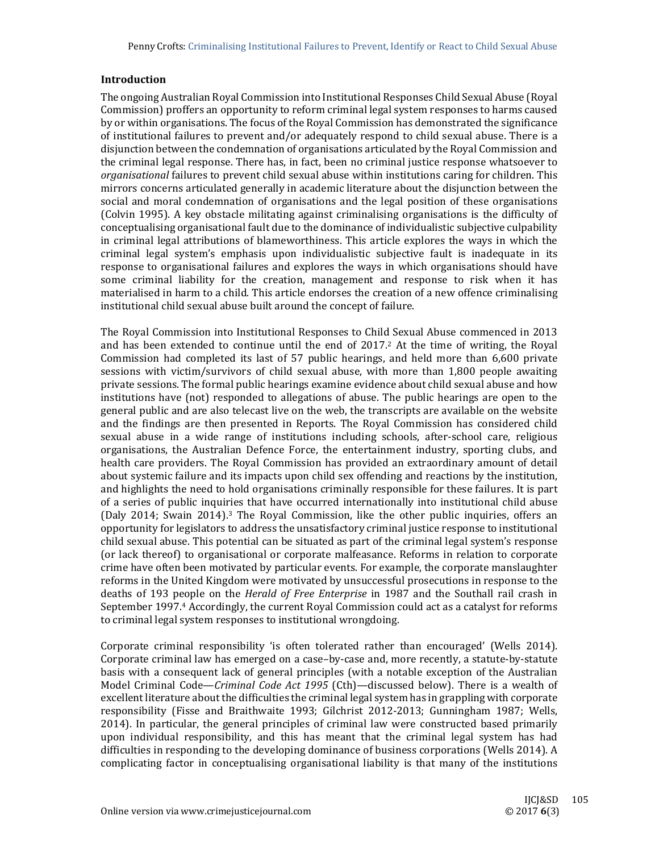# **Introduction**

The ongoing Australian Royal Commission into Institutional Responses Child Sexual Abuse (Royal Commission) proffers an opportunity to reform criminal legal system responses to harms caused by or within organisations. The focus of the Royal Commission has demonstrated the significance of institutional failures to prevent and/or adequately respond to child sexual abuse. There is a disjunction between the condemnation of organisations articulated by the Royal Commission and the criminal legal response. There has, in fact, been no criminal justice response whatsoever to *organisational* failures to prevent child sexual abuse within institutions caring for children. This mirrors concerns articulated generally in academic literature about the disjunction between the social and moral condemnation of organisations and the legal position of these organisations (Colvin 1995). A key obstacle militating against criminalising organisations is the difficulty of conceptualising organisational fault due to the dominance of individualistic subjective culpability in criminal legal attributions of blameworthiness. This article explores the ways in which the criminal legal system's emphasis upon individualistic subjective fault is inadequate in its response to organisational failures and explores the ways in which organisations should have some criminal liability for the creation, management and response to risk when it has materialised in harm to a child. This article endorses the creation of a new offence criminalising institutional child sexual abuse built around the concept of failure.

The Royal Commission into Institutional Responses to Child Sexual Abuse commenced in 2013 and has been extended to continue until the end of  $2017<sup>2</sup>$  At the time of writing, the Royal Commission had completed its last of 57 public hearings, and held more than 6,600 private sessions with victim/survivors of child sexual abuse, with more than 1,800 people awaiting private sessions. The formal public hearings examine evidence about child sexual abuse and how institutions have (not) responded to allegations of abuse. The public hearings are open to the general public and are also telecast live on the web, the transcripts are available on the website and the findings are then presented in Reports. The Royal Commission has considered child sexual abuse in a wide range of institutions including schools, after-school care, religious organisations, the Australian Defence Force, the entertainment industry, sporting clubs, and health care providers. The Royal Commission has provided an extraordinary amount of detail about systemic failure and its impacts upon child sex offending and reactions by the institution, and highlights the need to hold organisations criminally responsible for these failures. It is part of a series of public inquiries that have occurred internationally into institutional child abuse (Daly 2014; Swain 2014).<sup>3</sup> The Royal Commission, like the other public inquiries, offers an opportunity for legislators to address the unsatisfactory criminal justice response to institutional child sexual abuse. This potential can be situated as part of the criminal legal system's response (or lack thereof) to organisational or corporate malfeasance. Reforms in relation to corporate crime have often been motivated by particular events. For example, the corporate manslaughter reforms in the United Kingdom were motivated by unsuccessful prosecutions in response to the deaths of 193 people on the *Herald of Free Enterprise* in 1987 and the Southall rail crash in September 1997.<sup>4</sup> Accordingly, the current Royal Commission could act as a catalyst for reforms to criminal legal system responses to institutional wrongdoing.

Corporate criminal responsibility 'is often tolerated rather than encouraged' (Wells 2014). Corporate criminal law has emerged on a case–by-case and, more recently, a statute-by-statute basis with a consequent lack of general principles (with a notable exception of the Australian Model Criminal Code—*Criminal Code Act* 1995 (Cth)—discussed below). There is a wealth of excellent literature about the difficulties the criminal legal system has in grappling with corporate responsibility (Fisse and Braithwaite 1993; Gilchrist 2012-2013; Gunningham 1987; Wells, 2014). In particular, the general principles of criminal law were constructed based primarily upon individual responsibility, and this has meant that the criminal legal system has had difficulties in responding to the developing dominance of business corporations (Wells 2014). A complicating factor in conceptualising organisational liability is that many of the institutions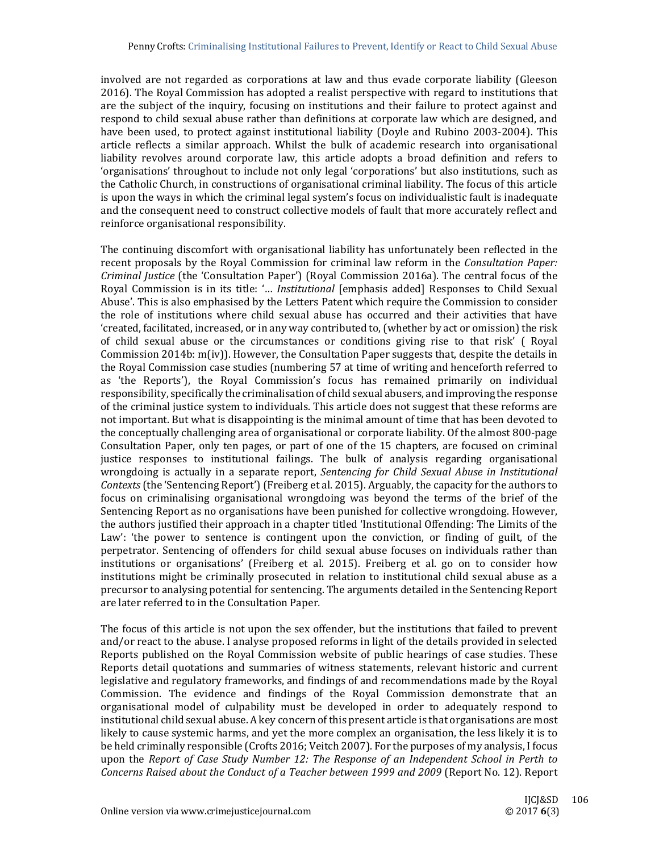involved are not regarded as corporations at law and thus evade corporate liability (Gleeson 2016). The Royal Commission has adopted a realist perspective with regard to institutions that are the subject of the inquiry, focusing on institutions and their failure to protect against and respond to child sexual abuse rather than definitions at corporate law which are designed, and have been used, to protect against institutional liability (Doyle and Rubino 2003-2004). This article reflects a similar approach. Whilst the bulk of academic research into organisational liability revolves around corporate law, this article adopts a broad definition and refers to 'organisations' throughout to include not only legal 'corporations' but also institutions, such as the Catholic Church, in constructions of organisational criminal liability. The focus of this article is upon the ways in which the criminal legal system's focus on individualistic fault is inadequate and the consequent need to construct collective models of fault that more accurately reflect and reinforce organisational responsibility.

The continuing discomfort with organisational liability has unfortunately been reflected in the recent proposals by the Royal Commission for criminal law reform in the *Consultation Paper: Criminal Justice* (the 'Consultation Paper') (Royal Commission 2016a). The central focus of the Royal Commission is in its title: '... *Institutional* [emphasis added] Responses to Child Sexual Abuse'. This is also emphasised by the Letters Patent which require the Commission to consider the role of institutions where child sexual abuse has occurred and their activities that have 'created, facilitated, increased, or in any way contributed to, (whether by act or omission) the risk of child sexual abuse or the circumstances or conditions giving rise to that risk' ( Royal Commission  $2014b$ :  $m(iv)$ . However, the Consultation Paper suggests that, despite the details in the Royal Commission case studies (numbering 57 at time of writing and henceforth referred to as 'the Reports'), the Royal Commission's focus has remained primarily on individual responsibility, specifically the criminalisation of child sexual abusers, and improving the response of the criminal justice system to individuals. This article does not suggest that these reforms are not important. But what is disappointing is the minimal amount of time that has been devoted to the conceptually challenging area of organisational or corporate liability. Of the almost 800-page Consultation Paper, only ten pages, or part of one of the 15 chapters, are focused on criminal justice responses to institutional failings. The bulk of analysis regarding organisational wrongdoing is actually in a separate report, *Sentencing for Child Sexual Abuse in Institutional Contexts* (the 'Sentencing Report') (Freiberg et al. 2015). Arguably, the capacity for the authors to focus on criminalising organisational wrongdoing was beyond the terms of the brief of the Sentencing Report as no organisations have been punished for collective wrongdoing. However, the authors justified their approach in a chapter titled 'Institutional Offending: The Limits of the Law': 'the power to sentence is contingent upon the conviction, or finding of guilt, of the perpetrator. Sentencing of offenders for child sexual abuse focuses on individuals rather than institutions or organisations' (Freiberg et al. 2015). Freiberg et al. go on to consider how institutions might be criminally prosecuted in relation to institutional child sexual abuse as a precursor to analysing potential for sentencing. The arguments detailed in the Sentencing Report are later referred to in the Consultation Paper.

The focus of this article is not upon the sex offender, but the institutions that failed to prevent and/or react to the abuse. I analyse proposed reforms in light of the details provided in selected Reports published on the Royal Commission website of public hearings of case studies. These Reports detail quotations and summaries of witness statements, relevant historic and current legislative and regulatory frameworks, and findings of and recommendations made by the Royal Commission. The evidence and findings of the Royal Commission demonstrate that an organisational model of culpability must be developed in order to adequately respond to institutional child sexual abuse. A key concern of this present article is that organisations are most likely to cause systemic harms, and yet the more complex an organisation, the less likely it is to be held criminally responsible (Crofts 2016; Veitch 2007). For the purposes of my analysis, I focus upon the *Report of Case Study Number 12: The Response of an Independent School in Perth to Concerns Raised about the Conduct of a Teacher between 1999 and 2009* (Report No. 12). Report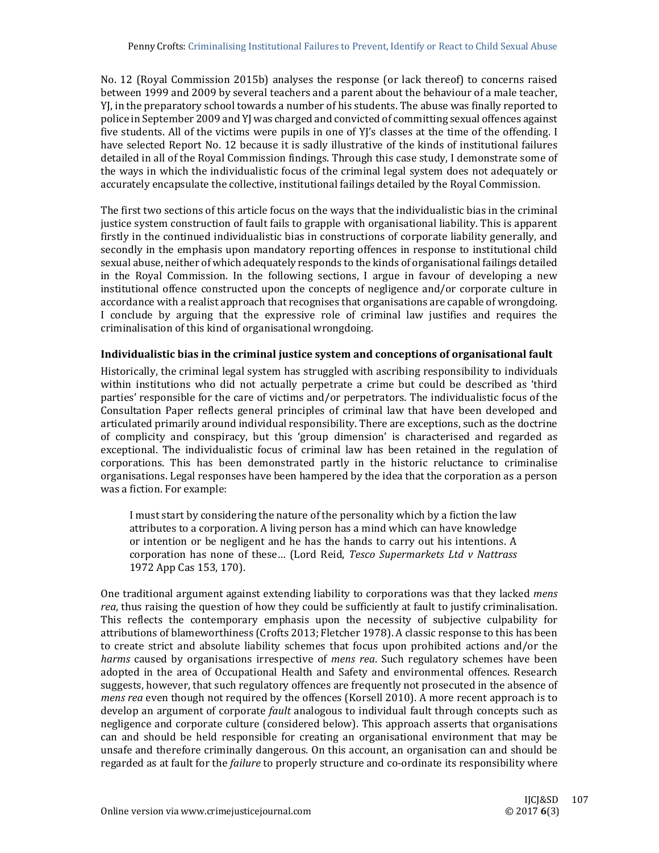No. 12 (Royal Commission 2015b) analyses the response (or lack thereof) to concerns raised between 1999 and 2009 by several teachers and a parent about the behaviour of a male teacher, YI, in the preparatory school towards a number of his students. The abuse was finally reported to police in September 2009 and YJ was charged and convicted of committing sexual offences against five students. All of the victims were pupils in one of  $Y/$ 's classes at the time of the offending. I have selected Report No. 12 because it is sadly illustrative of the kinds of institutional failures detailed in all of the Royal Commission findings. Through this case study, I demonstrate some of the ways in which the individualistic focus of the criminal legal system does not adequately or accurately encapsulate the collective, institutional failings detailed by the Royal Commission.

The first two sections of this article focus on the ways that the individualistic bias in the criminal justice system construction of fault fails to grapple with organisational liability. This is apparent firstly in the continued individualistic bias in constructions of corporate liability generally, and secondly in the emphasis upon mandatory reporting offences in response to institutional child sexual abuse, neither of which adequately responds to the kinds of organisational failings detailed in the Royal Commission. In the following sections, I argue in favour of developing a new institutional offence constructed upon the concepts of negligence and/or corporate culture in accordance with a realist approach that recognises that organisations are capable of wrongdoing. I conclude by arguing that the expressive role of criminal law justifies and requires the criminalisation of this kind of organisational wrongdoing.

## **Individualistic bias in the criminal justice system and conceptions of organisational fault**

Historically, the criminal legal system has struggled with ascribing responsibility to individuals within institutions who did not actually perpetrate a crime but could be described as 'third parties' responsible for the care of victims and/or perpetrators. The individualistic focus of the Consultation Paper reflects general principles of criminal law that have been developed and articulated primarily around individual responsibility. There are exceptions, such as the doctrine of complicity and conspiracy, but this 'group dimension' is characterised and regarded as exceptional. The individualistic focus of criminal law has been retained in the regulation of corporations. This has been demonstrated partly in the historic reluctance to criminalise organisations. Legal responses have been hampered by the idea that the corporation as a person was a fiction. For example:

I must start by considering the nature of the personality which by a fiction the law attributes to a corporation. A living person has a mind which can have knowledge or intention or be negligent and he has the hands to carry out his intentions. A corporation has none of these… (Lord Reid, *Tesco Supermarkets Ltd v Nattrass* 1972 App Cas 153, 170).

One traditional argument against extending liability to corporations was that they lacked *mens rea*, thus raising the question of how they could be sufficiently at fault to justify criminalisation. This reflects the contemporary emphasis upon the necessity of subjective culpability for attributions of blameworthiness (Crofts 2013; Fletcher 1978). A classic response to this has been to create strict and absolute liability schemes that focus upon prohibited actions and/or the *harms* caused by organisations irrespective of *mens rea*. Such regulatory schemes have been adopted in the area of Occupational Health and Safety and environmental offences. Research suggests, however, that such regulatory offences are frequently not prosecuted in the absence of *mens* rea even though not required by the offences (Korsell 2010). A more recent approach is to develop an argument of corporate *fault* analogous to individual fault through concepts such as negligence and corporate culture (considered below). This approach asserts that organisations can and should be held responsible for creating an organisational environment that may be unsafe and therefore criminally dangerous. On this account, an organisation can and should be regarded as at fault for the *failure* to properly structure and co-ordinate its responsibility where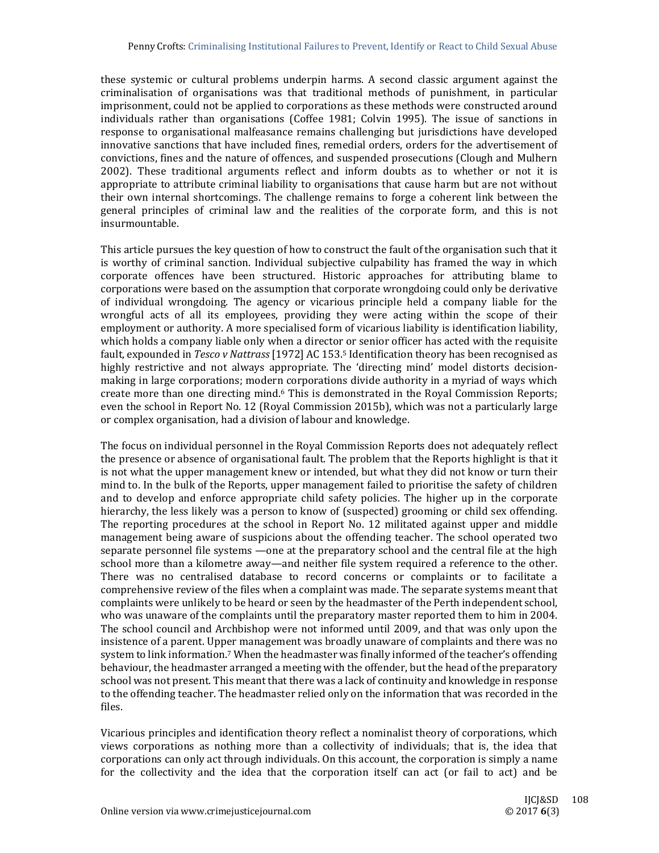these systemic or cultural problems underpin harms. A second classic argument against the criminalisation of organisations was that traditional methods of punishment, in particular imprisonment, could not be applied to corporations as these methods were constructed around individuals rather than organisations (Coffee 1981; Colvin 1995). The issue of sanctions in response to organisational malfeasance remains challenging but jurisdictions have developed innovative sanctions that have included fines, remedial orders, orders for the advertisement of convictions, fines and the nature of offences, and suspended prosecutions (Clough and Mulhern 2002). These traditional arguments reflect and inform doubts as to whether or not it is appropriate to attribute criminal liability to organisations that cause harm but are not without their own internal shortcomings. The challenge remains to forge a coherent link between the general principles of criminal law and the realities of the corporate form, and this is not insurmountable. 

This article pursues the key question of how to construct the fault of the organisation such that it is worthy of criminal sanction. Individual subjective culpability has framed the way in which corporate offences have been structured. Historic approaches for attributing blame to corporations were based on the assumption that corporate wrongdoing could only be derivative of individual wrongdoing. The agency or vicarious principle held a company liable for the wrongful acts of all its employees, providing they were acting within the scope of their employment or authority. A more specialised form of vicarious liability is identification liability, which holds a company liable only when a director or senior officer has acted with the requisite fault, expounded in *Tesco v Nattrass* [1972] AC 153.<sup>5</sup> Identification theory has been recognised as highly restrictive and not always appropriate. The 'directing mind' model distorts decisionmaking in large corporations; modern corporations divide authority in a myriad of ways which create more than one directing mind.<sup>6</sup> This is demonstrated in the Royal Commission Reports; even the school in Report No. 12 (Royal Commission 2015b), which was not a particularly large or complex organisation, had a division of labour and knowledge.

The focus on individual personnel in the Royal Commission Reports does not adequately reflect the presence or absence of organisational fault. The problem that the Reports highlight is that it is not what the upper management knew or intended, but what they did not know or turn their mind to. In the bulk of the Reports, upper management failed to prioritise the safety of children and to develop and enforce appropriate child safety policies. The higher up in the corporate hierarchy, the less likely was a person to know of (suspected) grooming or child sex offending. The reporting procedures at the school in Report No. 12 militated against upper and middle management being aware of suspicions about the offending teacher. The school operated two separate personnel file systems —one at the preparatory school and the central file at the high school more than a kilometre away—and neither file system required a reference to the other. There was no centralised database to record concerns or complaints or to facilitate a comprehensive review of the files when a complaint was made. The separate systems meant that complaints were unlikely to be heard or seen by the headmaster of the Perth independent school, who was unaware of the complaints until the preparatory master reported them to him in 2004. The school council and Archbishop were not informed until 2009, and that was only upon the insistence of a parent. Upper management was broadly unaware of complaints and there was no system to link information.<sup>7</sup> When the headmaster was finally informed of the teacher's offending behaviour, the headmaster arranged a meeting with the offender, but the head of the preparatory school was not present. This meant that there was a lack of continuity and knowledge in response to the offending teacher. The headmaster relied only on the information that was recorded in the files. 

Vicarious principles and identification theory reflect a nominalist theory of corporations, which views corporations as nothing more than a collectivity of individuals; that is, the idea that corporations can only act through individuals. On this account, the corporation is simply a name for the collectivity and the idea that the corporation itself can act (or fail to act) and be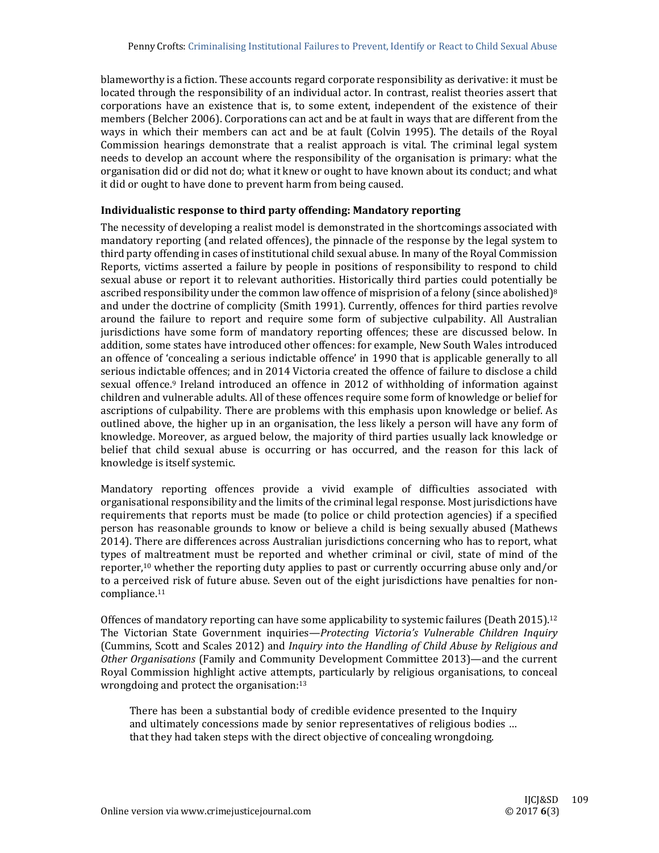blameworthy is a fiction. These accounts regard corporate responsibility as derivative: it must be located through the responsibility of an individual actor. In contrast, realist theories assert that corporations have an existence that is, to some extent, independent of the existence of their members (Belcher 2006). Corporations can act and be at fault in ways that are different from the ways in which their members can act and be at fault (Colvin 1995). The details of the Royal Commission hearings demonstrate that a realist approach is vital. The criminal legal system needs to develop an account where the responsibility of the organisation is primary: what the organisation did or did not do; what it knew or ought to have known about its conduct; and what it did or ought to have done to prevent harm from being caused.

### **Individualistic response to third party offending: Mandatory reporting**

The necessity of developing a realist model is demonstrated in the shortcomings associated with mandatory reporting (and related offences), the pinnacle of the response by the legal system to third party offending in cases of institutional child sexual abuse. In many of the Royal Commission Reports, victims asserted a failure by people in positions of responsibility to respond to child sexual abuse or report it to relevant authorities. Historically third parties could potentially be ascribed responsibility under the common law offence of misprision of a felony (since abolished)<sup>8</sup> and under the doctrine of complicity (Smith 1991). Currently, offences for third parties revolve around the failure to report and require some form of subjective culpability. All Australian jurisdictions have some form of mandatory reporting offences; these are discussed below. In addition, some states have introduced other offences: for example, New South Wales introduced an offence of 'concealing a serious indictable offence' in 1990 that is applicable generally to all serious indictable offences; and in 2014 Victoria created the offence of failure to disclose a child sexual offence.<sup>9</sup> Ireland introduced an offence in 2012 of withholding of information against children and vulnerable adults. All of these offences require some form of knowledge or belief for ascriptions of culpability. There are problems with this emphasis upon knowledge or belief. As outlined above, the higher up in an organisation, the less likely a person will have any form of knowledge. Moreover, as argued below, the majority of third parties usually lack knowledge or belief that child sexual abuse is occurring or has occurred, and the reason for this lack of knowledge is itself systemic.

Mandatory reporting offences provide a vivid example of difficulties associated with organisational responsibility and the limits of the criminal legal response. Most jurisdictions have requirements that reports must be made (to police or child protection agencies) if a specified person has reasonable grounds to know or believe a child is being sexually abused (Mathews 2014). There are differences across Australian jurisdictions concerning who has to report, what types of maltreatment must be reported and whether criminal or civil, state of mind of the reporter,<sup>10</sup> whether the reporting duty applies to past or currently occurring abuse only and/or to a perceived risk of future abuse. Seven out of the eight jurisdictions have penalties for noncompliance.11 

Offences of mandatory reporting can have some applicability to systemic failures (Death 2015).<sup>12</sup> The Victorian State Government inquiries—*Protecting Victoria's Vulnerable Children Inquiry* (Cummins, Scott and Scales 2012) and *Inquiry into the Handling of Child Abuse by Religious and Other Organisations* (Family and Community Development Committee 2013)—and the current Royal Commission highlight active attempts, particularly by religious organisations, to conceal wrongdoing and protect the organisation: $13$ 

There has been a substantial body of credible evidence presented to the Inquiry and ultimately concessions made by senior representatives of religious bodies ... that they had taken steps with the direct objective of concealing wrongdoing.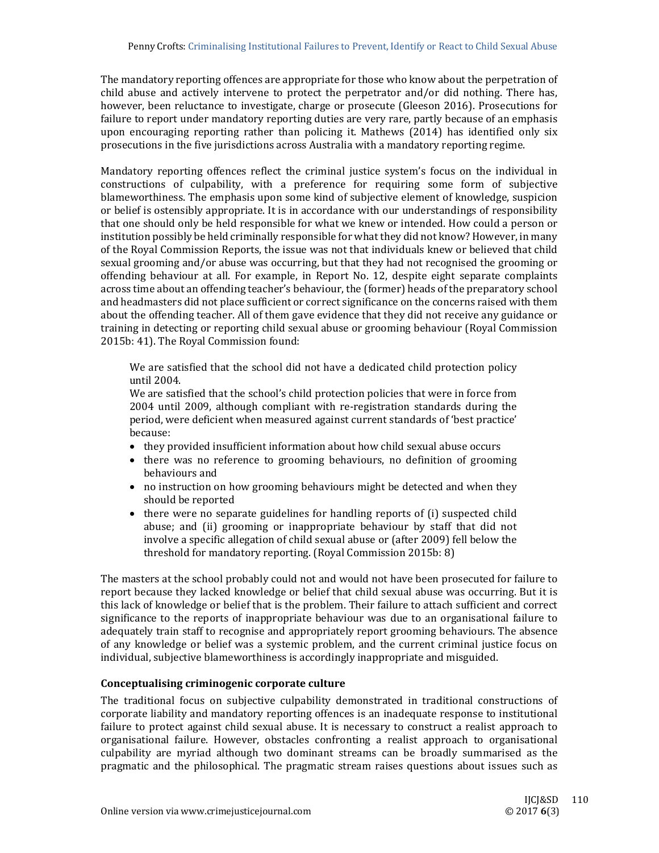The mandatory reporting offences are appropriate for those who know about the perpetration of child abuse and actively intervene to protect the perpetrator and/or did nothing. There has, however, been reluctance to investigate, charge or prosecute (Gleeson 2016). Prosecutions for failure to report under mandatory reporting duties are very rare, partly because of an emphasis upon encouraging reporting rather than policing it. Mathews  $(2014)$  has identified only six prosecutions in the five jurisdictions across Australia with a mandatory reporting regime.

Mandatory reporting offences reflect the criminal justice system's focus on the individual in constructions of culpability, with a preference for requiring some form of subjective blameworthiness. The emphasis upon some kind of subjective element of knowledge, suspicion or belief is ostensibly appropriate. It is in accordance with our understandings of responsibility that one should only be held responsible for what we knew or intended. How could a person or institution possibly be held criminally responsible for what they did not know? However, in many of the Royal Commission Reports, the issue was not that individuals knew or believed that child sexual grooming and/or abuse was occurring, but that they had not recognised the grooming or offending behaviour at all. For example, in Report No. 12, despite eight separate complaints across time about an offending teacher's behaviour, the (former) heads of the preparatory school and headmasters did not place sufficient or correct significance on the concerns raised with them about the offending teacher. All of them gave evidence that they did not receive any guidance or training in detecting or reporting child sexual abuse or grooming behaviour (Royal Commission 2015b: 41). The Royal Commission found:

We are satisfied that the school did not have a dedicated child protection policy until 2004. 

We are satisfied that the school's child protection policies that were in force from 2004 until 2009, although compliant with re-registration standards during the period, were deficient when measured against current standards of 'best practice' because: 

- they provided insufficient information about how child sexual abuse occurs
- there was no reference to grooming behaviours, no definition of grooming behaviours and
- no instruction on how grooming behaviours might be detected and when they should be reported
- $\bullet$  there were no separate guidelines for handling reports of (i) suspected child abuse; and (ii) grooming or inappropriate behaviour by staff that did not involve a specific allegation of child sexual abuse or (after 2009) fell below the threshold for mandatory reporting. (Royal Commission 2015b: 8)

The masters at the school probably could not and would not have been prosecuted for failure to report because they lacked knowledge or belief that child sexual abuse was occurring. But it is this lack of knowledge or belief that is the problem. Their failure to attach sufficient and correct significance to the reports of inappropriate behaviour was due to an organisational failure to adequately train staff to recognise and appropriately report grooming behaviours. The absence of any knowledge or belief was a systemic problem, and the current criminal justice focus on individual, subjective blameworthiness is accordingly inappropriate and misguided.

## **Conceptualising criminogenic corporate culture**

The traditional focus on subjective culpability demonstrated in traditional constructions of corporate liability and mandatory reporting offences is an inadequate response to institutional failure to protect against child sexual abuse. It is necessary to construct a realist approach to organisational failure. However, obstacles confronting a realist approach to organisational culpability are myriad although two dominant streams can be broadly summarised as the pragmatic and the philosophical. The pragmatic stream raises questions about issues such as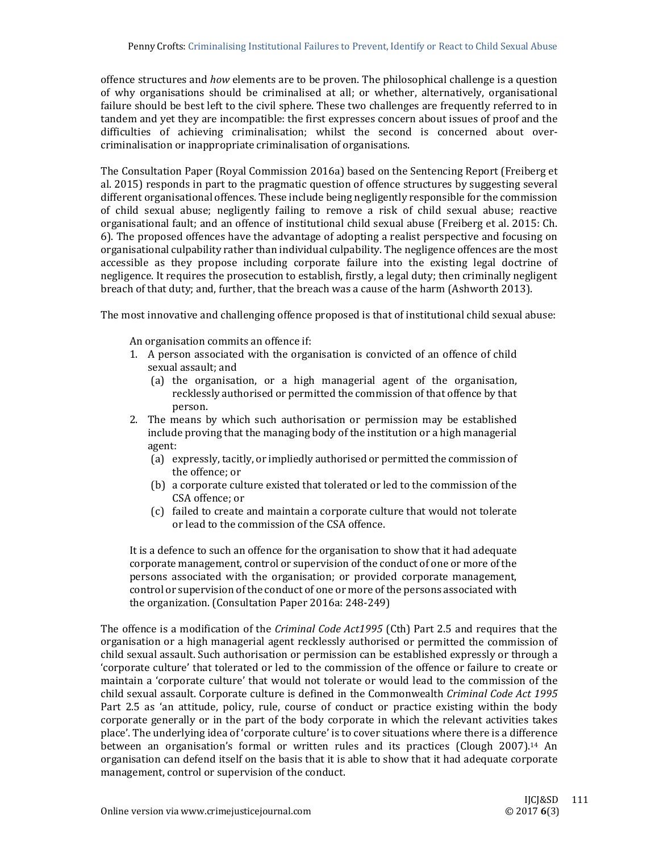offence structures and *how* elements are to be proven. The philosophical challenge is a question of why organisations should be criminalised at all; or whether, alternatively, organisational failure should be best left to the civil sphere. These two challenges are frequently referred to in tandem and yet they are incompatible: the first expresses concern about issues of proof and the difficulties of achieving criminalisation; whilst the second is concerned about overcriminalisation or inappropriate criminalisation of organisations.

The Consultation Paper (Royal Commission 2016a) based on the Sentencing Report (Freiberg et al. 2015) responds in part to the pragmatic question of offence structures by suggesting several different organisational offences. These include being negligently responsible for the commission of child sexual abuse; negligently failing to remove a risk of child sexual abuse; reactive organisational fault; and an offence of institutional child sexual abuse (Freiberg et al. 2015: Ch. 6). The proposed offences have the advantage of adopting a realist perspective and focusing on organisational culpability rather than individual culpability. The negligence offences are the most accessible as they propose including corporate failure into the existing legal doctrine of negligence. It requires the prosecution to establish, firstly, a legal duty; then criminally negligent breach of that duty; and, further, that the breach was a cause of the harm (Ashworth 2013).

The most innovative and challenging offence proposed is that of institutional child sexual abuse:

An organisation commits an offence if:

- 1. A person associated with the organisation is convicted of an offence of child sexual assault: and
	- (a) the organisation, or a high managerial agent of the organisation, recklessly authorised or permitted the commission of that offence by that person.
- 2. The means by which such authorisation or permission may be established include proving that the managing body of the institution or a high managerial agent:
	- (a) expressly, tacitly, or impliedly authorised or permitted the commission of the offence; or
	- (b) a corporate culture existed that tolerated or led to the commission of the CSA offence; or
	- (c) failed to create and maintain a corporate culture that would not tolerate or lead to the commission of the CSA offence.

It is a defence to such an offence for the organisation to show that it had adequate corporate management, control or supervision of the conduct of one or more of the persons associated with the organisation; or provided corporate management, control or supervision of the conduct of one or more of the persons associated with the organization. (Consultation Paper 2016a:  $248-249$ )

The offence is a modification of the *Criminal Code Act1995* (Cth) Part 2.5 and requires that the organisation or a high managerial agent recklessly authorised or permitted the commission of child sexual assault. Such authorisation or permission can be established expressly or through a 'corporate culture' that tolerated or led to the commission of the offence or failure to create or maintain a 'corporate culture' that would not tolerate or would lead to the commission of the child sexual assault. Corporate culture is defined in the Commonwealth *Criminal Code Act 1995* Part 2.5 as 'an attitude, policy, rule, course of conduct or practice existing within the body corporate generally or in the part of the body corporate in which the relevant activities takes place'. The underlying idea of 'corporate culture' is to cover situations where there is a difference between an organisation's formal or written rules and its practices (Clough 2007).<sup>14</sup> An organisation can defend itself on the basis that it is able to show that it had adequate corporate management, control or supervision of the conduct.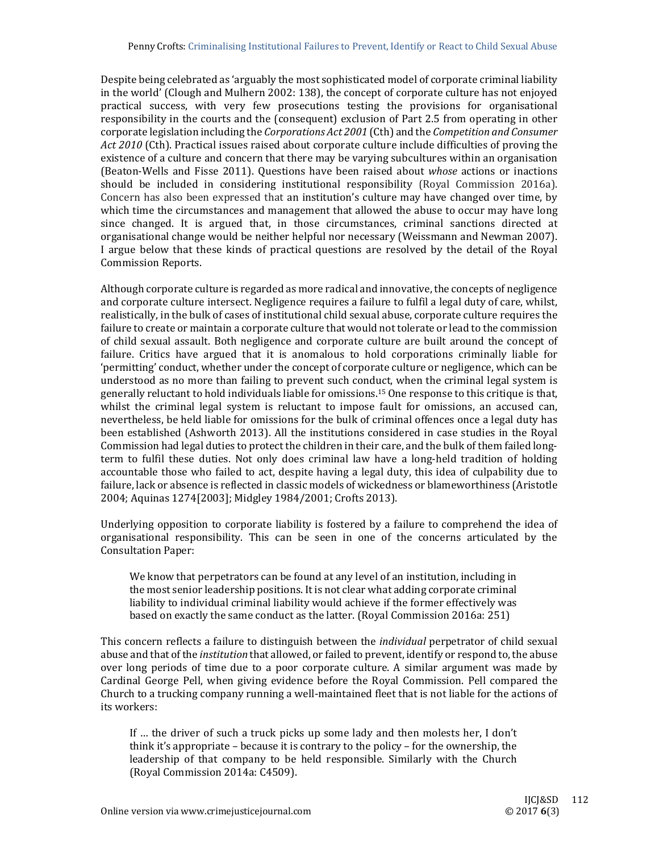Despite being celebrated as 'arguably the most sophisticated model of corporate criminal liability in the world' (Clough and Mulhern 2002: 138), the concept of corporate culture has not enjoyed practical success, with very few prosecutions testing the provisions for organisational responsibility in the courts and the  $($ consequent $)$  exclusion of Part 2.5 from operating in other corporate legislation including the *Corporations Act 2001* (Cth) and the *Competition and Consumer* Act 2010 (Cth). Practical issues raised about corporate culture include difficulties of proving the existence of a culture and concern that there may be varying subcultures within an organisation (Beaton-Wells and Fisse 2011). Questions have been raised about *whose* actions or inactions should be included in considering institutional responsibility (Royal Commission 2016a). Concern has also been expressed that an institution's culture may have changed over time, by which time the circumstances and management that allowed the abuse to occur may have long since changed. It is argued that, in those circumstances, criminal sanctions directed at organisational change would be neither helpful nor necessary (Weissmann and Newman 2007). I argue below that these kinds of practical questions are resolved by the detail of the Royal Commission Reports. 

Although corporate culture is regarded as more radical and innovative, the concepts of negligence and corporate culture intersect. Negligence requires a failure to fulfil a legal duty of care, whilst, realistically, in the bulk of cases of institutional child sexual abuse, corporate culture requires the failure to create or maintain a corporate culture that would not tolerate or lead to the commission of child sexual assault. Both negligence and corporate culture are built around the concept of failure. Critics have argued that it is anomalous to hold corporations criminally liable for 'permitting' conduct, whether under the concept of corporate culture or negligence, which can be understood as no more than failing to prevent such conduct, when the criminal legal system is generally reluctant to hold individuals liable for omissions.<sup>15</sup> One response to this critique is that, whilst the criminal legal system is reluctant to impose fault for omissions, an accused can, nevertheless, be held liable for omissions for the bulk of criminal offences once a legal duty has been established (Ashworth 2013). All the institutions considered in case studies in the Royal Commission had legal duties to protect the children in their care, and the bulk of them failed longterm to fulfil these duties. Not only does criminal law have a long-held tradition of holding accountable those who failed to act, despite having a legal duty, this idea of culpability due to failure, lack or absence is reflected in classic models of wickedness or blameworthiness (Aristotle 2004; Aquinas 1274[2003]; Midgley 1984/2001; Crofts 2013).

Underlying opposition to corporate liability is fostered by a failure to comprehend the idea of organisational responsibility. This can be seen in one of the concerns articulated by the Consultation Paper: 

We know that perpetrators can be found at any level of an institution, including in the most senior leadership positions. It is not clear what adding corporate criminal liability to individual criminal liability would achieve if the former effectively was based on exactly the same conduct as the latter. (Royal Commission 2016a: 251)

This concern reflects a failure to distinguish between the *individual* perpetrator of child sexual abuse and that of the *institution* that allowed, or failed to prevent, identify or respond to, the abuse over long periods of time due to a poor corporate culture. A similar argument was made by Cardinal George Pell, when giving evidence before the Royal Commission. Pell compared the Church to a trucking company running a well-maintained fleet that is not liable for the actions of its workers:

If  $\ldots$  the driver of such a truck picks up some lady and then molests her, I don't think it's appropriate  $-$  because it is contrary to the policy  $-$  for the ownership, the leadership of that company to be held responsible. Similarly with the Church (Royal Commission 2014a: C4509).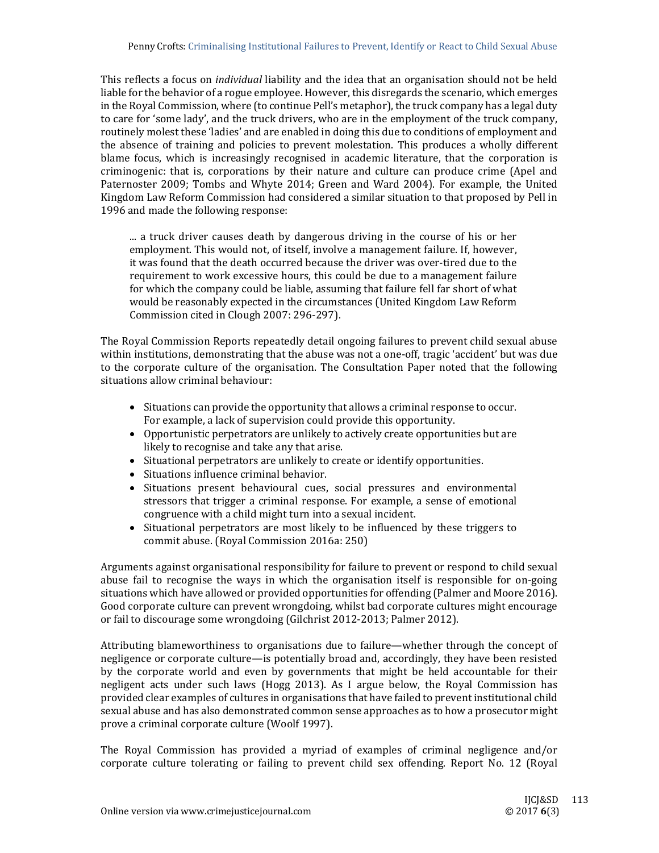This reflects a focus on *individual* liability and the idea that an organisation should not be held liable for the behavior of a rogue employee. However, this disregards the scenario, which emerges in the Royal Commission, where (to continue Pell's metaphor), the truck company has a legal duty to care for 'some lady', and the truck drivers, who are in the employment of the truck company, routinely molest these 'ladies' and are enabled in doing this due to conditions of employment and the absence of training and policies to prevent molestation. This produces a wholly different blame focus, which is increasingly recognised in academic literature, that the corporation is criminogenic: that is, corporations by their nature and culture can produce crime (Apel and Paternoster 2009; Tombs and Whyte 2014; Green and Ward 2004). For example, the United Kingdom Law Reform Commission had considered a similar situation to that proposed by Pell in 1996 and made the following response:

... a truck driver causes death by dangerous driving in the course of his or her employment. This would not, of itself, involve a management failure. If, however, it was found that the death occurred because the driver was over-tired due to the requirement to work excessive hours, this could be due to a management failure for which the company could be liable, assuming that failure fell far short of what would be reasonably expected in the circumstances (United Kingdom Law Reform Commission cited in Clough 2007: 296-297).

The Royal Commission Reports repeatedly detail ongoing failures to prevent child sexual abuse within institutions, demonstrating that the abuse was not a one-off, tragic 'accident' but was due to the corporate culture of the organisation. The Consultation Paper noted that the following situations allow criminal behaviour:

- Situations can provide the opportunity that allows a criminal response to occur. For example, a lack of supervision could provide this opportunity.
- Opportunistic perpetrators are unlikely to actively create opportunities but are likely to recognise and take any that arise.
- Situational perpetrators are unlikely to create or identify opportunities.
- Situations influence criminal behavior.
- Situations present behavioural cues, social pressures and environmental stressors that trigger a criminal response. For example, a sense of emotional congruence with a child might turn into a sexual incident.
- Situational perpetrators are most likely to be influenced by these triggers to commit abuse. (Royal Commission 2016a: 250)

Arguments against organisational responsibility for failure to prevent or respond to child sexual abuse fail to recognise the ways in which the organisation itself is responsible for on-going situations which have allowed or provided opportunities for offending (Palmer and Moore 2016). Good corporate culture can prevent wrongdoing, whilst bad corporate cultures might encourage or fail to discourage some wrongdoing (Gilchrist 2012-2013; Palmer 2012).

Attributing blameworthiness to organisations due to failure—whether through the concept of negligence or corporate culture—is potentially broad and, accordingly, they have been resisted by the corporate world and even by governments that might be held accountable for their negligent acts under such laws (Hogg 2013). As I argue below, the Royal Commission has provided clear examples of cultures in organisations that have failed to prevent institutional child sexual abuse and has also demonstrated common sense approaches as to how a prosecutor might prove a criminal corporate culture (Woolf 1997).

The Royal Commission has provided a myriad of examples of criminal negligence and/or corporate culture tolerating or failing to prevent child sex offending. Report No. 12 (Royal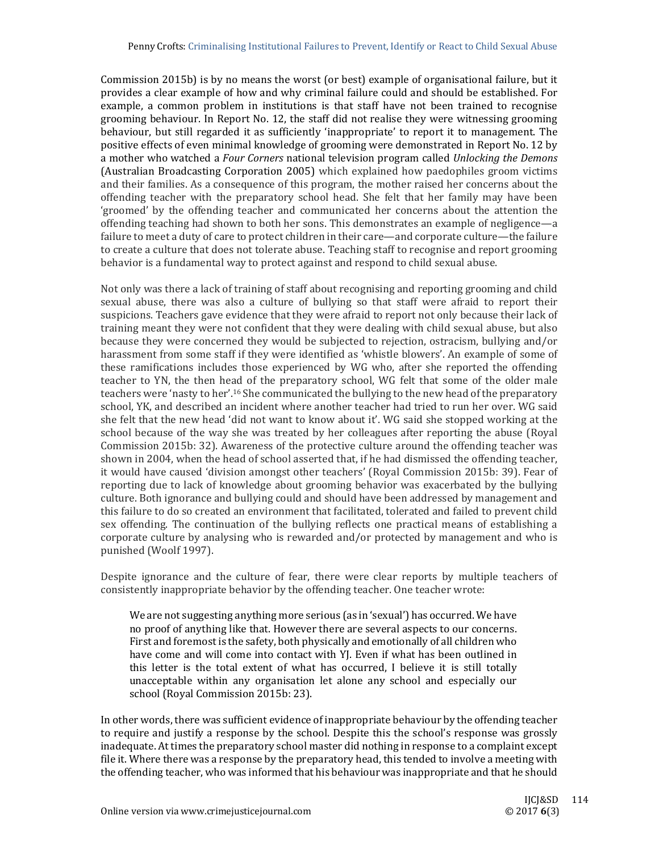Commission 2015b) is by no means the worst (or best) example of organisational failure, but it provides a clear example of how and why criminal failure could and should be established. For example, a common problem in institutions is that staff have not been trained to recognise grooming behaviour. In Report No. 12, the staff did not realise they were witnessing grooming behaviour, but still regarded it as sufficiently 'inappropriate' to report it to management. The positive effects of even minimal knowledge of grooming were demonstrated in Report No. 12 by a mother who watched a *Four Corners* national television program called *Unlocking the Demons* (Australian Broadcasting Corporation 2005) which explained how paedophiles groom victims and their families. As a consequence of this program, the mother raised her concerns about the offending teacher with the preparatory school head. She felt that her family may have been 'groomed' by the offending teacher and communicated her concerns about the attention the offending teaching had shown to both her sons. This demonstrates an example of negligence—a failure to meet a duty of care to protect children in their care—and corporate culture—the failure to create a culture that does not tolerate abuse. Teaching staff to recognise and report grooming behavior is a fundamental way to protect against and respond to child sexual abuse.

Not only was there a lack of training of staff about recognising and reporting grooming and child sexual abuse, there was also a culture of bullying so that staff were afraid to report their suspicions. Teachers gave evidence that they were afraid to report not only because their lack of training meant they were not confident that they were dealing with child sexual abuse, but also because they were concerned they would be subjected to rejection, ostracism, bullying and/or harassment from some staff if they were identified as 'whistle blowers'. An example of some of these ramifications includes those experienced by WG who, after she reported the offending teacher to YN, the then head of the preparatory school, WG felt that some of the older male teachers were 'nasty to her'.<sup>16</sup> She communicated the bullying to the new head of the preparatory school, YK, and described an incident where another teacher had tried to run her over. WG said she felt that the new head 'did not want to know about it'. WG said she stopped working at the school because of the way she was treated by her colleagues after reporting the abuse (Royal Commission 2015b: 32). Awareness of the protective culture around the offending teacher was shown in 2004, when the head of school asserted that, if he had dismissed the offending teacher, it would have caused 'division amongst other teachers' (Royal Commission 2015b: 39). Fear of reporting due to lack of knowledge about grooming behavior was exacerbated by the bullying culture. Both ignorance and bullying could and should have been addressed by management and this failure to do so created an environment that facilitated, tolerated and failed to prevent child sex offending. The continuation of the bullying reflects one practical means of establishing a corporate culture by analysing who is rewarded and/or protected by management and who is punished (Woolf 1997).

Despite ignorance and the culture of fear, there were clear reports by multiple teachers of consistently inappropriate behavior by the offending teacher. One teacher wrote:

We are not suggesting anything more serious (as in 'sexual') has occurred. We have no proof of anything like that. However there are several aspects to our concerns. First and foremost is the safety, both physically and emotionally of all children who have come and will come into contact with YJ. Even if what has been outlined in this letter is the total extent of what has occurred. I believe it is still totally unacceptable within any organisation let alone any school and especially our school (Royal Commission 2015b: 23).

In other words, there was sufficient evidence of inappropriate behaviour by the offending teacher to require and justify a response by the school. Despite this the school's response was grossly inadequate. At times the preparatory school master did nothing in response to a complaint except file it. Where there was a response by the preparatory head, this tended to involve a meeting with the offending teacher, who was informed that his behaviour was inappropriate and that he should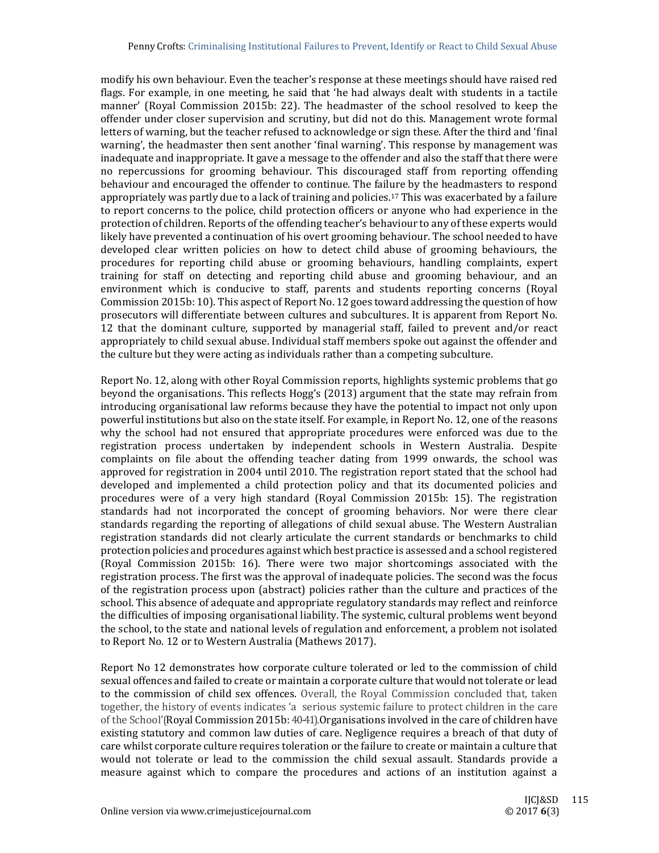modify his own behaviour. Even the teacher's response at these meetings should have raised red flags. For example, in one meeting, he said that 'he had always dealt with students in a tactile manner' (Royal Commission 2015b: 22). The headmaster of the school resolved to keep the offender under closer supervision and scrutiny, but did not do this. Management wrote formal letters of warning, but the teacher refused to acknowledge or sign these. After the third and 'final warning', the headmaster then sent another 'final warning'. This response by management was inadequate and inappropriate. It gave a message to the offender and also the staff that there were no repercussions for grooming behaviour. This discouraged staff from reporting offending behaviour and encouraged the offender to continue. The failure by the headmasters to respond appropriately was partly due to a lack of training and policies.<sup>17</sup> This was exacerbated by a failure to report concerns to the police, child protection officers or anyone who had experience in the protection of children. Reports of the offending teacher's behaviour to any of these experts would likely have prevented a continuation of his overt grooming behaviour. The school needed to have developed clear written policies on how to detect child abuse of grooming behaviours, the procedures for reporting child abuse or grooming behaviours, handling complaints, expert training for staff on detecting and reporting child abuse and grooming behaviour, and an environment which is conducive to staff, parents and students reporting concerns (Royal Commission 2015b: 10). This aspect of Report No. 12 goes toward addressing the question of how prosecutors will differentiate between cultures and subcultures. It is apparent from Report No. 12 that the dominant culture, supported by managerial staff, failed to prevent and/or react appropriately to child sexual abuse. Individual staff members spoke out against the offender and the culture but they were acting as individuals rather than a competing subculture.

Report No. 12, along with other Royal Commission reports, highlights systemic problems that go beyond the organisations. This reflects Hogg's (2013) argument that the state may refrain from introducing organisational law reforms because they have the potential to impact not only upon powerful institutions but also on the state itself. For example, in Report No. 12, one of the reasons why the school had not ensured that appropriate procedures were enforced was due to the registration process undertaken by independent schools in Western Australia. Despite complaints on file about the offending teacher dating from 1999 onwards, the school was approved for registration in 2004 until 2010. The registration report stated that the school had developed and implemented a child protection policy and that its documented policies and procedures were of a very high standard (Royal Commission 2015b: 15). The registration standards had not incorporated the concept of grooming behaviors. Nor were there clear standards regarding the reporting of allegations of child sexual abuse. The Western Australian registration standards did not clearly articulate the current standards or benchmarks to child protection policies and procedures against which best practice is assessed and a school registered (Royal Commission 2015b: 16). There were two major shortcomings associated with the registration process. The first was the approval of inadequate policies. The second was the focus of the registration process upon (abstract) policies rather than the culture and practices of the school. This absence of adequate and appropriate regulatory standards may reflect and reinforce the difficulties of imposing organisational liability. The systemic, cultural problems went beyond the school, to the state and national levels of regulation and enforcement, a problem not isolated to Report No. 12 or to Western Australia (Mathews 2017).

Report No 12 demonstrates how corporate culture tolerated or led to the commission of child sexual offences and failed to create or maintain a corporate culture that would not tolerate or lead to the commission of child sex offences. Overall, the Royal Commission concluded that, taken together, the history of events indicates 'a serious systemic failure to protect children in the care of the School'(Royal Commission 2015b: 40-41). Organisations involved in the care of children have existing statutory and common law duties of care. Negligence requires a breach of that duty of care whilst corporate culture requires toleration or the failure to create or maintain a culture that would not tolerate or lead to the commission the child sexual assault. Standards provide a measure against which to compare the procedures and actions of an institution against a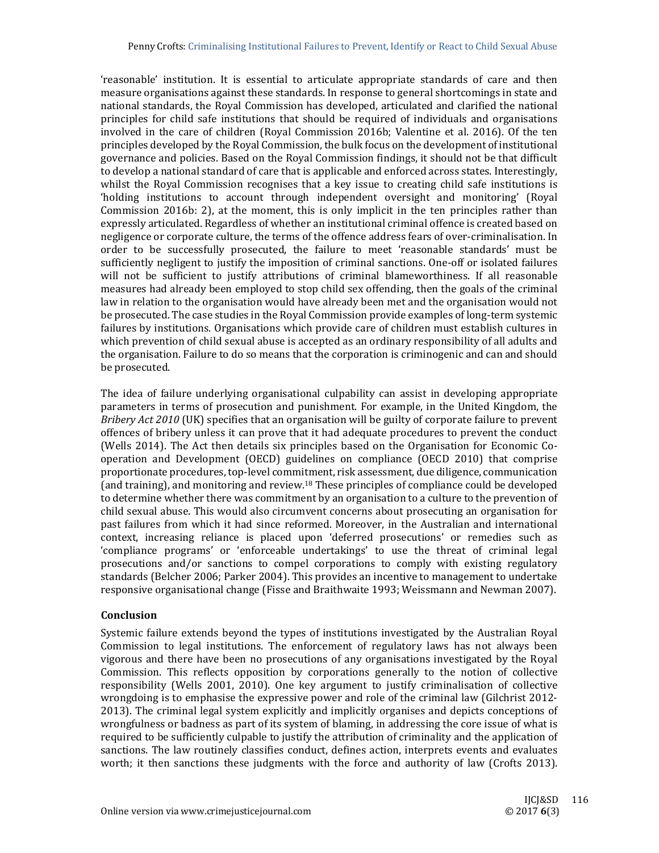'reasonable' institution. It is essential to articulate appropriate standards of care and then measure organisations against these standards. In response to general shortcomings in state and national standards, the Royal Commission has developed, articulated and clarified the national principles for child safe institutions that should be required of individuals and organisations involved in the care of children (Royal Commission 2016b; Valentine et al. 2016). Of the ten principles developed by the Royal Commission, the bulk focus on the development of institutional governance and policies. Based on the Royal Commission findings, it should not be that difficult to develop a national standard of care that is applicable and enforced across states. Interestingly, whilst the Royal Commission recognises that a key issue to creating child safe institutions is 'holding institutions to account through independent oversight and monitoring' (Royal Commission 2016b: 2), at the moment, this is only implicit in the ten principles rather than expressly articulated. Regardless of whether an institutional criminal offence is created based on negligence or corporate culture, the terms of the offence address fears of over-criminalisation. In order to be successfully prosecuted, the failure to meet 'reasonable standards' must be sufficiently negligent to justify the imposition of criminal sanctions. One-off or isolated failures will not be sufficient to justify attributions of criminal blameworthiness. If all reasonable measures had already been employed to stop child sex offending, then the goals of the criminal law in relation to the organisation would have already been met and the organisation would not be prosecuted. The case studies in the Royal Commission provide examples of long-term systemic failures by institutions. Organisations which provide care of children must establish cultures in which prevention of child sexual abuse is accepted as an ordinary responsibility of all adults and the organisation. Failure to do so means that the corporation is criminogenic and can and should be prosecuted.

The idea of failure underlying organisational culpability can assist in developing appropriate parameters in terms of prosecution and punishment. For example, in the United Kingdom, the *Bribery Act 2010* (UK) specifies that an organisation will be guilty of corporate failure to prevent offences of bribery unless it can prove that it had adequate procedures to prevent the conduct (Wells 2014). The Act then details six principles based on the Organisation for Economic Cooperation and Development (OECD) guidelines on compliance (OECD 2010) that comprise proportionate procedures, top-level commitment, risk assessment, due diligence, communication (and training), and monitoring and review.<sup>18</sup> These principles of compliance could be developed to determine whether there was commitment by an organisation to a culture to the prevention of child sexual abuse. This would also circumvent concerns about prosecuting an organisation for past failures from which it had since reformed. Moreover, in the Australian and international context, increasing reliance is placed upon 'deferred prosecutions' or remedies such as 'compliance programs' or 'enforceable undertakings' to use the threat of criminal legal prosecutions and/or sanctions to compel corporations to comply with existing regulatory standards (Belcher 2006; Parker 2004). This provides an incentive to management to undertake responsive organisational change (Fisse and Braithwaite 1993; Weissmann and Newman 2007).

## **Conclusion**

Systemic failure extends beyond the types of institutions investigated by the Australian Royal Commission to legal institutions. The enforcement of regulatory laws has not always been vigorous and there have been no prosecutions of any organisations investigated by the Royal Commission. This reflects opposition by corporations generally to the notion of collective responsibility (Wells 2001, 2010). One key argument to justify criminalisation of collective wrongdoing is to emphasise the expressive power and role of the criminal law (Gilchrist  $2012$ -2013). The criminal legal system explicitly and implicitly organises and depicts conceptions of wrongfulness or badness as part of its system of blaming, in addressing the core issue of what is required to be sufficiently culpable to justify the attribution of criminality and the application of sanctions. The law routinely classifies conduct, defines action, interprets events and evaluates worth; it then sanctions these judgments with the force and authority of law (Crofts 2013).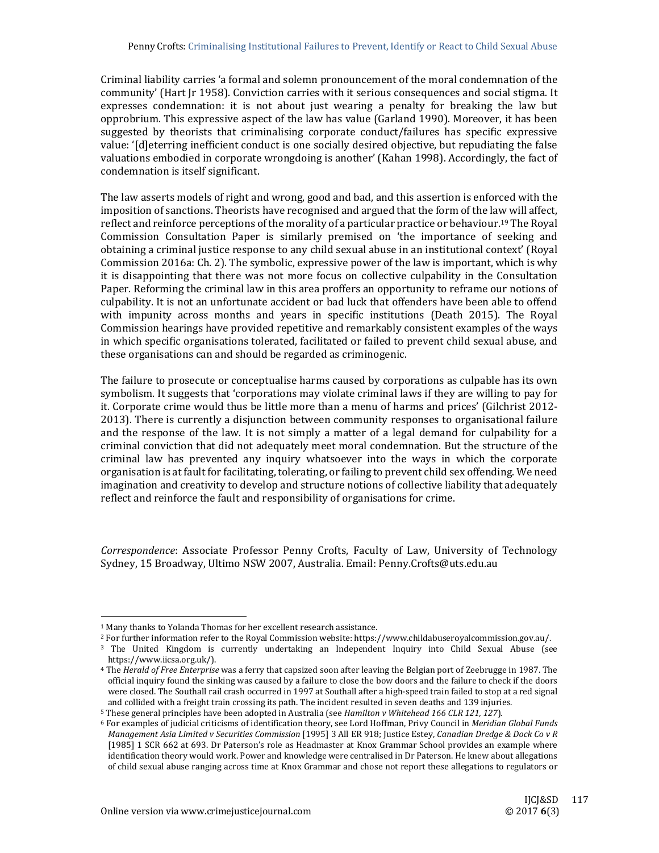Criminal liability carries 'a formal and solemn pronouncement of the moral condemnation of the community' (Hart Jr 1958). Conviction carries with it serious consequences and social stigma. It expresses condemnation: it is not about just wearing a penalty for breaking the law but opprobrium. This expressive aspect of the law has value (Garland 1990). Moreover, it has been suggested by theorists that criminalising corporate conduct/failures has specific expressive value: '[d]eterring inefficient conduct is one socially desired objective, but repudiating the false valuations embodied in corporate wrongdoing is another' (Kahan 1998). Accordingly, the fact of condemnation is itself significant.

The law asserts models of right and wrong, good and bad, and this assertion is enforced with the imposition of sanctions. Theorists have recognised and argued that the form of the law will affect. reflect and reinforce perceptions of the morality of a particular practice or behaviour.<sup>19</sup> The Royal Commission Consultation Paper is similarly premised on 'the importance of seeking and obtaining a criminal justice response to any child sexual abuse in an institutional context' (Royal Commission 2016a: Ch. 2). The symbolic, expressive power of the law is important, which is why it is disappointing that there was not more focus on collective culpability in the Consultation Paper. Reforming the criminal law in this area proffers an opportunity to reframe our notions of culpability. It is not an unfortunate accident or bad luck that offenders have been able to offend with impunity across months and years in specific institutions (Death 2015). The Royal Commission hearings have provided repetitive and remarkably consistent examples of the ways in which specific organisations tolerated, facilitated or failed to prevent child sexual abuse, and these organisations can and should be regarded as criminogenic.

The failure to prosecute or conceptualise harms caused by corporations as culpable has its own symbolism. It suggests that 'corporations may violate criminal laws if they are willing to pay for it. Corporate crime would thus be little more than a menu of harms and prices' (Gilchrist 2012-2013). There is currently a disjunction between community responses to organisational failure and the response of the law. It is not simply a matter of a legal demand for culpability for a criminal conviction that did not adequately meet moral condemnation. But the structure of the criminal law has prevented any inquiry whatsoever into the ways in which the corporate organisation is at fault for facilitating, tolerating, or failing to prevent child sex offending. We need imagination and creativity to develop and structure notions of collective liability that adequately reflect and reinforce the fault and responsibility of organisations for crime.

*Correspondence*: Associate Professor Penny Crofts, Faculty of Law, University of Technology Sydney, 15 Broadway, Ultimo NSW 2007, Australia. Email: Penny.Crofts@uts.edu.au

 

<sup>&</sup>lt;sup>1</sup> Many thanks to Yolanda Thomas for her excellent research assistance.

<sup>&</sup>lt;sup>2</sup> For further information refer to the Royal Commission website: https://www.childabuseroyalcommission.gov.au/.

<sup>&</sup>lt;sup>3</sup> The United Kingdom is currently undertaking an Independent Inquiry into Child Sexual Abuse (see https://www.iicsa.org.uk/). 

<sup>&</sup>lt;sup>4</sup> The *Herald of Free Enterprise* was a ferry that capsized soon after leaving the Belgian port of Zeebrugge in 1987. The official inquiry found the sinking was caused by a failure to close the bow doors and the failure to check if the doors were closed. The Southall rail crash occurred in 1997 at Southall after a high-speed train failed to stop at a red signal and collided with a freight train crossing its path. The incident resulted in seven deaths and 139 injuries.

<sup>5</sup> These general principles have been adopted in Australia (see *Hamilton v Whitehead 166 CLR 121, 127*)*.*

<sup>6</sup> For examples of judicial criticisms of identification theory, see Lord Hoffman, Privy Council in *Meridian Global Funds Management Asia Limited v Securities Commission* [1995] 3 All ER 918; Justice Estey, *Canadian Dredge & Dock Co v R* [1985] 1 SCR 662 at 693. Dr Paterson's role as Headmaster at Knox Grammar School provides an example where identification theory would work. Power and knowledge were centralised in Dr Paterson. He knew about allegations of child sexual abuse ranging across time at Knox Grammar and chose not report these allegations to regulators or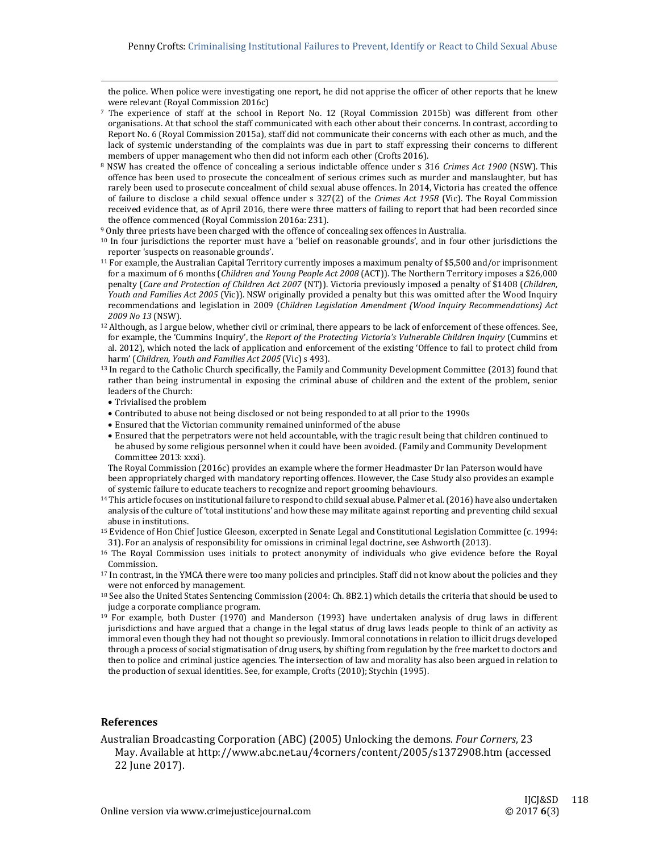the police. When police were investigating one report, he did not apprise the officer of other reports that he knew were relevant (Royal Commission 2016c)

- $7$  The experience of staff at the school in Report No. 12 (Royal Commission 2015b) was different from other organisations. At that school the staff communicated with each other about their concerns. In contrast, according to Report No. 6 (Royal Commission 2015a), staff did not communicate their concerns with each other as much, and the lack of systemic understanding of the complaints was due in part to staff expressing their concerns to different members of upper management who then did not inform each other (Crofts 2016).
- <sup>8</sup> NSW has created the offence of concealing a serious indictable offence under s 316 *Crimes Act* 1900 (NSW). This offence has been used to prosecute the concealment of serious crimes such as murder and manslaughter, but has rarely been used to prosecute concealment of child sexual abuse offences. In 2014, Victoria has created the offence of failure to disclose a child sexual offence under s 327(2) of the *Crimes Act* 1958 (Vic). The Royal Commission received evidence that, as of April 2016, there were three matters of failing to report that had been recorded since the offence commenced (Royal Commission 2016a: 231).
- <sup>9</sup> Only three priests have been charged with the offence of concealing sex offences in Australia.

 $10$  In four jurisdictions the reporter must have a 'belief on reasonable grounds', and in four other jurisdictions the reporter 'suspects on reasonable grounds'.

- $11$  For example, the Australian Capital Territory currently imposes a maximum penalty of \$5,500 and/or imprisonment for a maximum of 6 months (*Children and Young People Act 2008* (ACT)). The Northern Territory imposes a \$26,000 penalty (*Care and Protection of Children Act 2007* (NT)). Victoria previously imposed a penalty of \$1408 (*Children, Youth and Families Act 2005* (Vic)). NSW originally provided a penalty but this was omitted after the Wood Inquiry recommendations and legislation in 2009 (*Children Legislation Amendment (Wood Inquiry Recommendations) Act 2009 No 13* (NSW).
- <sup>12</sup> Although, as I argue below, whether civil or criminal, there appears to be lack of enforcement of these offences. See, for example, the 'Cummins Inquiry', the *Report of the Protecting Victoria's Vulnerable Children Inquiry* (Cummins et al. 2012), which noted the lack of application and enforcement of the existing 'Offence to fail to protect child from harm' (*Children, Youth and Families Act 2005* (Vic) s 493).
- <sup>13</sup> In regard to the Catholic Church specifically, the Family and Community Development Committee (2013) found that rather than being instrumental in exposing the criminal abuse of children and the extent of the problem, senior leaders of the Church:
- Trivialised the problem
- Contributed to abuse not being disclosed or not being responded to at all prior to the 1990s
- Ensured that the Victorian community remained uninformed of the abuse
- Ensured that the perpetrators were not held accountable, with the tragic result being that children continued to be abused by some religious personnel when it could have been avoided. (Family and Community Development Committee 2013: xxxi).

The Royal Commission (2016c) provides an example where the former Headmaster Dr Ian Paterson would have been appropriately charged with mandatory reporting offences. However, the Case Study also provides an example

of systemic failure to educate teachers to recognize and report grooming behaviours. <sup>14</sup> This article focuses on institutional failure to respond to child sexual abuse. Palmer et al. (2016) have also undertaken

- analysis of the culture of 'total institutions' and how these may militate against reporting and preventing child sexual abuse in institutions.
- <sup>15</sup> Evidence of Hon Chief Justice Gleeson, excerpted in Senate Legal and Constitutional Legislation Committee (c. 1994: 31). For an analysis of responsibility for omissions in criminal legal doctrine, see Ashworth (2013).
- <sup>16</sup> The Royal Commission uses initials to protect anonymity of individuals who give evidence before the Royal Commission.
- <sup>17</sup> In contrast, in the YMCA there were too many policies and principles. Staff did not know about the policies and they were not enforced by management.
- $18$  See also the United States Sentencing Commission (2004: Ch. 8B2.1) which details the criteria that should be used to judge a corporate compliance program.
- $19$  For example, both Duster (1970) and Manderson (1993) have undertaken analysis of drug laws in different jurisdictions and have argued that a change in the legal status of drug laws leads people to think of an activity as immoral even though they had not thought so previously. Immoral connotations in relation to illicit drugs developed through a process of social stigmatisation of drug users, by shifting from regulation by the free market to doctors and then to police and criminal justice agencies. The intersection of law and morality has also been argued in relation to the production of sexual identities. See, for example, Crofts (2010); Stychin (1995).

#### **References**

Australian Broadcasting Corporation (ABC) (2005) Unlocking the demons. *Four Corners*, 23 May. Available at http://www.abc.net.au/4corners/content/2005/s1372908.htm (accessed 22 June 2017).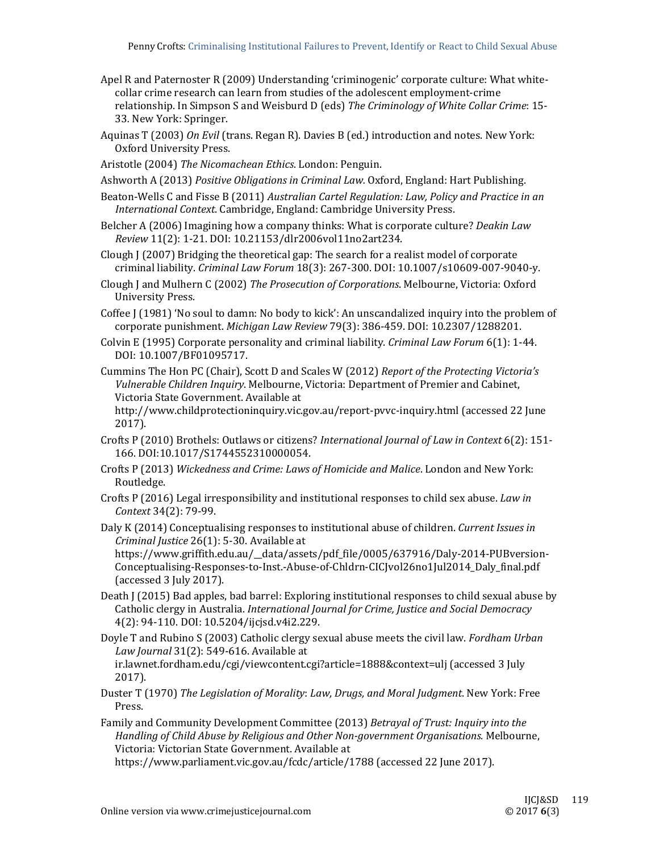- Apel R and Paternoster R (2009) Understanding 'criminogenic' corporate culture: What whitecollar crime research can learn from studies of the adolescent employment-crime relationship. In Simpson S and Weisburd D (eds) *The Criminology of White Collar Crime*: 15‐ 33. New York: Springer.
- Aquinas T (2003) *On Evil* (trans. Regan R). Davies B (ed.) introduction and notes. New York: Oxford University Press.
- Aristotle (2004) The Nicomachean *Ethics*. London: Penguin.
- Ashworth A (2013) *Positive Obligations in Criminal Law.* Oxford, England: Hart Publishing.
- Beaton‐Wells C and Fisse B (2011) *Australian Cartel Regulation: Law, Policy and Practice in an International Context.* Cambridge, England: Cambridge University Press.
- Belcher A (2006) Imagining how a company thinks: What is corporate culture? *Deakin Law Review* 11(2): 1‐21. DOI: 10.21153/dlr2006vol11no2art234.
- Clough J (2007) Bridging the theoretical gap: The search for a realist model of corporate criminal liability. *Criminal Law Forum* 18(3): 267‐300. DOI: 10.1007/s10609‐007‐9040‐y.
- Clough *J* and Mulhern C (2002) *The Prosecution of Corporations*. Melbourne, Victoria: Oxford **University Press.**
- Coffee  $J(1981)$  'No soul to damn: No body to kick': An unscandalized inquiry into the problem of corporate punishment. *Michigan Law Review* 79(3): 386‐459. DOI: 10.2307/1288201.
- Colvin E (1995) Corporate personality and criminal liability. *Criminal Law Forum* 6(1): 1-44. DOI: 10.1007/BF01095717.
- Cummins The Hon PC (Chair), Scott D and Scales W (2012) *Report of the Protecting Victoria's Vulnerable Children Inquiry*. Melbourne, Victoria: Department of Premier and Cabinet, Victoria State Government. Available at

http://www.childprotectioninquiry.vic.gov.au/report-pvvc-inquiry.html (accessed 22 June 2017). 

- Crofts P (2010) Brothels: Outlaws or citizens? *International Journal of Law in Context* 6(2): 151‐ 166. DOI:10.1017/S1744552310000054.
- Crofts P (2013) *Wickedness and Crime: Laws of Homicide and Malice*. London and New York: Routledge.
- Crofts P (2016) Legal irresponsibility and institutional responses to child sex abuse. *Law in Context* 34(2): 79‐99.
- Daly K (2014) Conceptualising responses to institutional abuse of children. Current Issues in *Criminal Justice* 26(1): 5‐30. Available at https://www.griffith.edu.au/\_data/assets/pdf\_file/0005/637916/Daly-2014‐PUBversion‐ Conceptualising‐Responses‐to‐Inst.‐Abuse‐of‐Chldrn‐CICJvol26no1Jul2014\_Daly\_final.pdf (accessed 3 July 2017).
- Death J (2015) Bad apples, bad barrel: Exploring institutional responses to child sexual abuse by Catholic clergy in Australia. *International Journal for Crime, Justice and Social Democracy* 4(2): 94‐110. DOI: 10.5204/ijcjsd.v4i2.229.
- Doyle T and Rubino S (2003) Catholic clergy sexual abuse meets the civil law. *Fordham Urban Law Journal* 31(2): 549-616. Available at ir.lawnet.fordham.edu/cgi/viewcontent.cgi?article=1888&context=ulj (accessed 3 July 2017).
- Duster T (1970) *The Legislation of Morality*: *Law, Drugs, and Moral Judgment*. New York: Free Press.
- Family and Community Development Committee (2013) *Betrayal of Trust: Inquiry into the Handling of Child Abuse by Religious and Other Non‐government Organisations.* Melbourne, Victoria: Victorian State Government. Available at

https://www.parliament.vic.gov.au/fcdc/article/1788 (accessed 22 June 2017).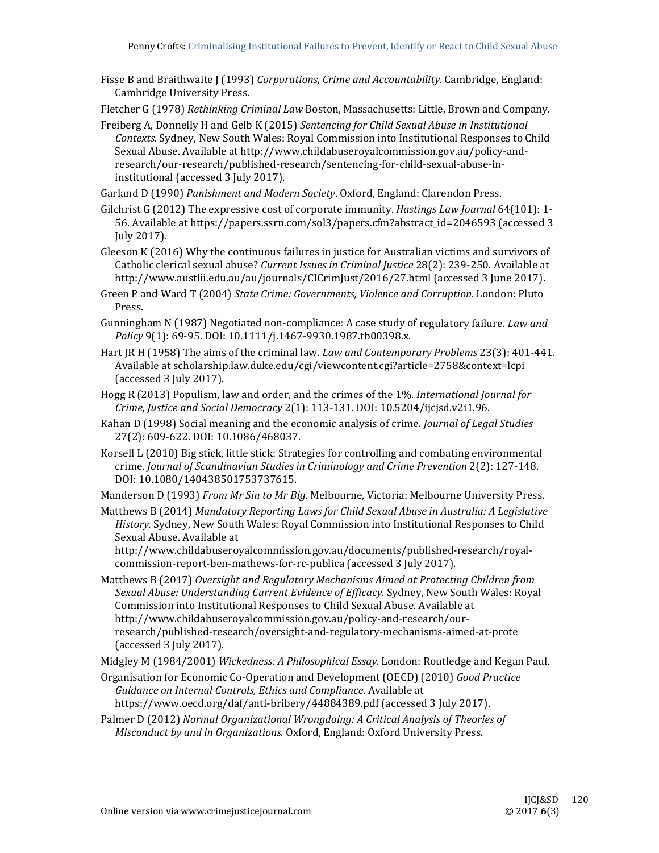- Fisse B and Braithwaite [(1993) *Corporations, Crime and Accountability*. Cambridge, England: Cambridge University Press.
- Fletcher G (1978) *Rethinking Criminal Law* Boston, Massachusetts: Little, Brown and Company.
- Freiberg A, Donnelly H and Gelb K (2015) *Sentencing for Child Sexual Abuse in Institutional* Contexts. Sydney, New South Wales: Royal Commission into Institutional Responses to Child Sexual Abuse. Available at http://www.childabuseroyalcommission.gov.au/policy-andresearch/our‐research/published‐research/sentencing‐for‐child‐sexual‐abuse‐in‐ institutional (accessed 3 July 2017).
- Garland D (1990) *Punishment and Modern Society*. Oxford, England: Clarendon Press.
- Gilchrist G (2012) The expressive cost of corporate immunity. *Hastings Law Journal* 64(101): 1-56. Available at https://papers.ssrn.com/sol3/papers.cfm?abstract\_id=2046593 (accessed 3 July 2017).
- Gleeson K (2016) Why the continuous failures in justice for Australian victims and survivors of Catholic clerical sexual abuse? *Current Issues in Criminal Justice* 28(2): 239‐250. Available at http://www.austlii.edu.au/au/journals/CICrimJust/2016/27.html (accessed 3 June 2017).
- Green P and Ward T (2004) *State Crime: Governments, Violence and Corruption*. London: Pluto Press.
- Gunningham N (1987) Negotiated non-compliance: A case study of regulatory failure. *Law and* Policy 9(1): 69-95. DOI: 10.1111/j.1467-9930.1987.tb00398.x.
- Hart JR H (1958) The aims of the criminal law. *Law and Contemporary Problems* 23(3): 401-441. Available at scholarship.law.duke.edu/cgi/viewcontent.cgi?article=2758&context=lcpi (accessed 3 July 2017).
- Hogg R (2013) Populism, law and order, and the crimes of the 1%. *International Journal for Crime, Justice and Social Democracy* 2(1): 113‐131. DOI: 10.5204/ijcjsd.v2i1.96.
- Kahan D (1998) Social meaning and the economic analysis of crime. *Journal of Legal Studies* 27(2): 609-622. DOI: 10.1086/468037.
- Korsell L (2010) Big stick, little stick: Strategies for controlling and combating environmental crime. *Journal of Scandinavian Studies in Criminology and Crime Prevention* 2(2): 127‐148. DOI: 10.1080/140438501753737615.

Manderson D (1993) *From Mr Sin to Mr Big*. Melbourne, Victoria: Melbourne University Press.

Matthews B (2014) *Mandatory Reporting Laws for Child Sexual Abuse in Australia: A Legislative History.* Sydney, New South Wales: Royal Commission into Institutional Responses to Child Sexual Abuse. Available at

http://www.childabuseroyalcommission.gov.au/documents/published-research/royalcommission-report-ben-mathews-for-rc-publica (accessed 3 July 2017).

Matthews B (2017) *Oversight and Regulatory Mechanisms Aimed at Protecting Children from Sexual Abuse: Understanding Current Evidence of Efficacy*. Sydney, New South Wales: Royal Commission into Institutional Responses to Child Sexual Abuse. Available at http://www.childabuseroyalcommission.gov.au/policy-and-research/ourresearch/published‐research/oversight‐and‐regulatory‐mechanisms‐aimed‐at‐prote (accessed 3 July 2017).

Midgley M (1984/2001) *Wickedness: A Philosophical Essay*. London: Routledge and Kegan Paul. 

- Organisation for Economic Co‐Operation and Development (OECD) (2010) *Good Practice Guidance on Internal Controls, Ethics and Compliance*. Available at https://www.oecd.org/daf/anti-bribery/44884389.pdf (accessed 3 July 2017).
- Palmer D (2012) *Normal Organizational Wrongdoing: A Critical Analysis of Theories of Misconduct by and in Organizations*. Oxford, England: Oxford University Press.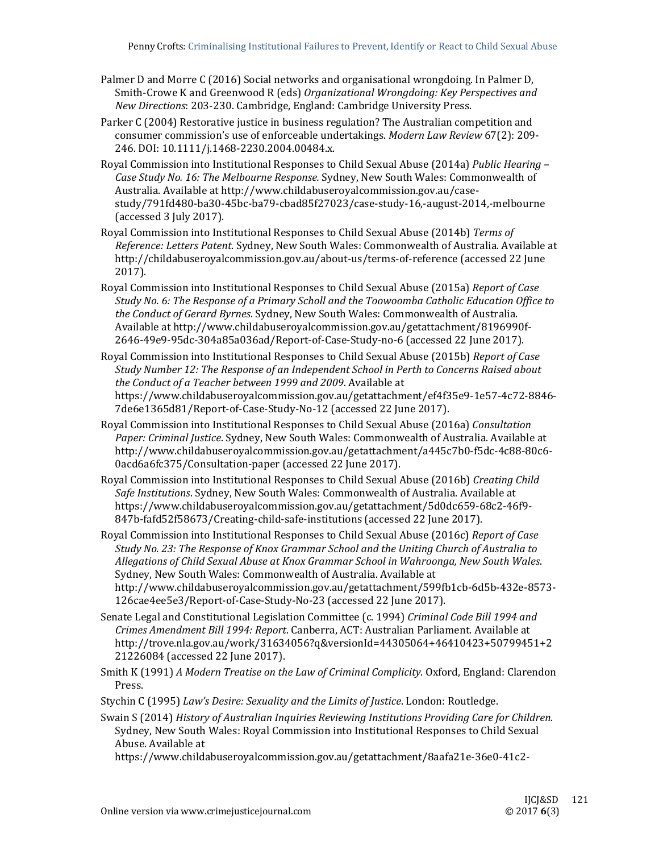- Palmer D and Morre C (2016) Social networks and organisational wrongdoing. In Palmer D, Smith‐Crowe K and Greenwood R (eds) *Organizational Wrongdoing: Key Perspectives and New Directions*: 203-230. Cambridge, England: Cambridge University Press.
- Parker C (2004) Restorative justice in business regulation? The Australian competition and consumer commission's use of enforceable undertakings. Modern Law Review 67(2): 209-246. DOI: 10.1111/j.1468-2230.2004.00484.x.
- Royal Commission into Institutional Responses to Child Sexual Abuse (2014a) *Public Hearing -Case Study No. 16: The Melbourne Response.* Sydney, New South Wales: Commonwealth of Australia. Available at http://www.childabuseroyalcommission.gov.au/casestudy/791fd480‐ba30‐45bc‐ba79‐cbad85f27023/case‐study‐16,‐august‐2014,‐melbourne (accessed 3 July 2017).
- Royal Commission into Institutional Responses to Child Sexual Abuse (2014b) *Terms of Reference: Letters Patent*. Sydney, New South Wales: Commonwealth of Australia. Available at http://childabuseroyalcommission.gov.au/about-us/terms-of-reference (accessed 22 June 2017).
- Royal Commission into Institutional Responses to Child Sexual Abuse (2015a) *Report of Case Study No. 6: The Response of a Primary Scholl and the Toowoomba Catholic Education Office to the Conduct of Gerard Byrnes*. Sydney, New South Wales: Commonwealth of Australia. Available at http://www.childabuseroyalcommission.gov.au/getattachment/8196990f-2646‐49e9‐95dc‐304a85a036ad/Report‐of‐Case‐Study‐no‐6 (accessed 22 June 2017).
- Royal Commission into Institutional Responses to Child Sexual Abuse (2015b) *Report of Case Study Number 12: The Response of an Independent School in Perth to Concerns Raised about the Conduct of a Teacher between 1999 and 2009*. Available at https://www.childabuseroyalcommission.gov.au/getattachment/ef4f35e9‐1e57‐4c72‐8846‐ 7de6e1365d81/Report-of-Case-Study-No-12 (accessed 22 June 2017).
- Royal Commission into Institutional Responses to Child Sexual Abuse (2016a) Consultation Paper: Criminal Justice. Sydney, New South Wales: Commonwealth of Australia. Available at http://www.childabuseroyalcommission.gov.au/getattachment/a445c7b0‐f5dc‐4c88‐80c6‐ 0acd6a6fc375/Consultation-paper (accessed 22 June 2017).
- Royal Commission into Institutional Responses to Child Sexual Abuse (2016b) *Creating Child Safe Institutions*. Sydney, New South Wales: Commonwealth of Australia. Available at https://www.childabuseroyalcommission.gov.au/getattachment/5d0dc659‐68c2‐46f9‐ 847b-fafd52f58673/Creating-child-safe-institutions (accessed 22 June 2017).
- Royal Commission into Institutional Responses to Child Sexual Abuse (2016c) *Report of Case Study No. 23: The Response of Knox Grammar School and the Uniting Church of Australia to Allegations of Child Sexual Abuse at Knox Grammar School in Wahroonga, New South Wales*. Sydney, New South Wales: Commonwealth of Australia. Available at http://www.childabuseroyalcommission.gov.au/getattachment/599fb1cb‐6d5b‐432e‐8573‐ 126cae4ee5e3/Report-of-Case-Study-No-23 (accessed 22 June 2017).
- Senate Legal and Constitutional Legislation Committee (c. 1994) *Criminal Code Bill 1994 and Crimes Amendment Bill 1994: Report*. Canberra, ACT: Australian Parliament. Available at http://trove.nla.gov.au/work/31634056?q&versionId=44305064+46410423+50799451+2 21226084 (accessed 22 June 2017).
- Smith K (1991) *A Modern Treatise on the Law of Criminal Complicity*. Oxford, England: Clarendon Press.
- Stychin C (1995) *Law's Desire: Sexuality and the Limits of Justice*. London: Routledge.
- Swain S (2014) *History of Australian Inquiries Reviewing Institutions Providing Care for Children*. Sydney, New South Wales: Royal Commission into Institutional Responses to Child Sexual Abuse. Available at
	- https://www.childabuseroyalcommission.gov.au/getattachment/8aafa21e‐36e0‐41c2‐